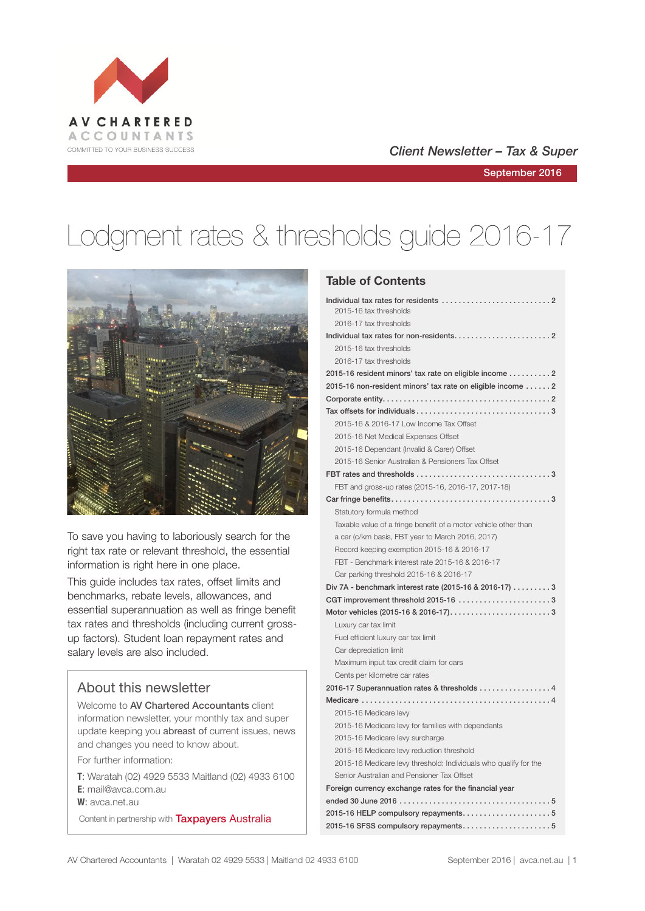

#### COMMITTED TO YOUR BUSINESS SUCCESS **COMMITTED TO YOUR BUSINESS SUCCESS**

September 2016

# Lodgment rates & thresholds guide 2016-17



To save you having to laboriously search for the right tax rate or relevant threshold, the essential information is right here in one place.

This guide includes tax rates, offset limits and benchmarks, rebate levels, allowances, and essential superannuation as well as fringe benefit tax rates and thresholds (including current grossup factors). Student loan repayment rates and salary levels are also included.

#### About this newsletter

Welcome to AV Chartered Accountants client information newsletter, your monthly tax and super update keeping you abreast of current issues, news and changes you need to know about.

For further information:

**T**: Waratah (02) 4929 5533 Maitland (02) 4933 6100 **E**: mail@avca.com.au

**W**: avca.net.au

Content in partnership with **Taxpayers Australia** 

#### **Table of Contents**

| 2015-16 tax thresholds                                           |
|------------------------------------------------------------------|
| 2016-17 tax thresholds                                           |
|                                                                  |
| 2015-16 tax thresholds                                           |
| 2016-17 tax thresholds                                           |
| 2015-16 resident minors' tax rate on eligible income 2           |
| 2015-16 non-resident minors' tax rate on eligible income  2      |
|                                                                  |
|                                                                  |
| 2015-16 & 2016-17 Low Income Tax Offset                          |
| 2015-16 Net Medical Expenses Offset                              |
| 2015-16 Dependant (Invalid & Carer) Offset                       |
| 2015-16 Senior Australian & Pensioners Tax Offset                |
|                                                                  |
| FBT and gross-up rates (2015-16, 2016-17, 2017-18)               |
|                                                                  |
| Statutory formula method                                         |
| Taxable value of a fringe benefit of a motor vehicle other than  |
| a car (c/km basis, FBT year to March 2016, 2017)                 |
| Record keeping exemption 2015-16 & 2016-17                       |
| FBT - Benchmark interest rate 2015-16 & 2016-17                  |
| Car parking threshold 2015-16 & 2016-17                          |
| Div 7A - benchmark interest rate (2015-16 & 2016-17) 3           |
| CGT improvement threshold 2015-16 3                              |
| Motor vehicles (2015-16 & 2016-17)3                              |
| Luxury car tax limit                                             |
| Fuel efficient luxury car tax limit                              |
| Car depreciation limit                                           |
| Maximum input tax credit claim for cars                          |
| Cents per kilometre car rates                                    |
| 2016-17 Superannuation rates & thresholds 4                      |
|                                                                  |
| 2015-16 Medicare levy                                            |
| 2015-16 Medicare levy for families with dependants               |
| 2015-16 Medicare levy surcharge                                  |
| 2015-16 Medicare levy reduction threshold                        |
| 2015-16 Medicare levy threshold: Individuals who qualify for the |
| Senior Australian and Pensioner Tax Offset                       |
| Foreign currency exchange rates for the financial year           |
|                                                                  |
|                                                                  |
| 2015-16 SFSS compulsory repayments5                              |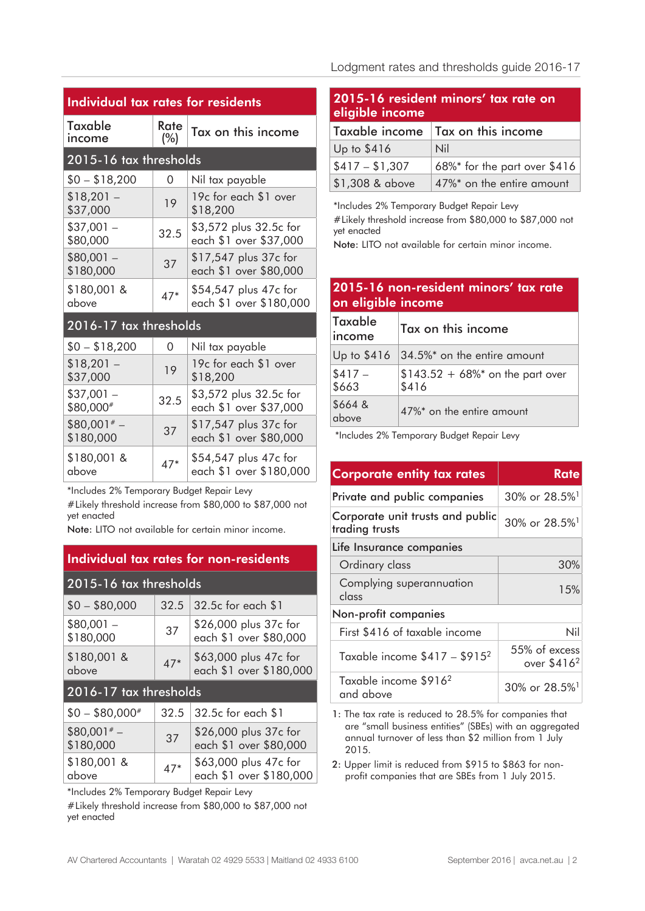| <b>Individual tax rates for residents</b>                                                                            |             |                                                  |  |  |
|----------------------------------------------------------------------------------------------------------------------|-------------|--------------------------------------------------|--|--|
| Taxable<br>income                                                                                                    | Rate<br>(%) | Tax on this income                               |  |  |
| 2015-16 tax thresholds                                                                                               |             |                                                  |  |  |
| $$0 - $18,200$                                                                                                       | 0           | Nil tax payable                                  |  |  |
| $$18,201 -$<br>\$37,000                                                                                              | 19          | 19c for each \$1 over<br>\$18,200                |  |  |
| $$37,001-$<br>\$80,000                                                                                               | 32.5        | \$3,572 plus 32.5c for<br>each \$1 over \$37,000 |  |  |
| $$80,001 -$<br>\$180,000                                                                                             | 37          | \$17,547 plus 37c for<br>each \$1 over \$80,000  |  |  |
| \$180,001 &<br>above                                                                                                 | $47*$       | \$54,547 plus 47c for<br>each \$1 over \$180,000 |  |  |
| 2016-17 tax thresholds                                                                                               |             |                                                  |  |  |
| $$0 - $18,200$                                                                                                       | $\Omega$    | Nil tax payable                                  |  |  |
| $$18,201 -$<br>\$37,000                                                                                              | 19          | 19c for each \$1 over<br>\$18,200                |  |  |
| $$37,001 -$<br>\$80,000#                                                                                             | 32.5        | \$3,572 plus 32.5c for<br>each \$1 over \$37,000 |  |  |
| $$80,001* -$<br>\$180,000                                                                                            | 37          | \$17,547 plus 37c for<br>each \$1 over \$80,000  |  |  |
| \$180,001 &<br>above                                                                                                 | $47*$       | \$54,547 plus 47c for<br>each \$1 over \$180,000 |  |  |
| *Includes 2% Temporary Budget Repair Levy<br>#Likely threshold increase from \$80,000 to \$87,000 not<br>yet enacted |             |                                                  |  |  |

Note: LITO not available for certain minor income.

| <b>Individual tax rates for non-residents</b> |       |                                                  |  |
|-----------------------------------------------|-------|--------------------------------------------------|--|
| 2015-16 tax thresholds                        |       |                                                  |  |
| $$0 - $80,000$                                | 32.5  | 32.5c for each \$1                               |  |
| $$80,001 -$<br>\$180,000                      | 37    | \$26,000 plus 37c for<br>each \$1 over \$80,000  |  |
| \$180,001 &<br>above                          | $47*$ | \$63,000 plus 47c for<br>each \$1 over \$180,000 |  |
| 2016-17 tax thresholds                        |       |                                                  |  |
| $$0 - $80,000*$                               | 32.5  | 32.5c for each \$1                               |  |
| $$80,001* -$<br>\$180,000                     | 37    | \$26,000 plus 37c for<br>each \$1 over \$80,000  |  |
| \$180,001 &<br>above                          | 47*   | \$63,000 plus 47c for<br>each \$1 over \$180,000 |  |

\*Includes 2% Temporary Budget Repair Levy

#Likely threshold increase from \$80,000 to \$87,000 not yet enacted

#### Lodgment rates and thresholds guide 2016-17

| 2015-16 resident minors' tax rate on<br>eligible income |                              |  |  |
|---------------------------------------------------------|------------------------------|--|--|
| Taxable income                                          | Tax on this income           |  |  |
| Up to $$416$                                            | Nil                          |  |  |
| $$417 - $1,307$                                         | 68%* for the part over \$416 |  |  |
| \$1,308 & above                                         | 47%* on the entire amount    |  |  |

\*Includes 2% Temporary Budget Repair Levy #Likely threshold increase from \$80,000 to \$87,000 not yet enacted

Note: LITO not available for certain minor income.

#### **2015-16 non-resident minors' tax rate on eligible income**

| <b>Taxable</b><br>income | Tax on this income                         |
|--------------------------|--------------------------------------------|
| Up to \$416              | 34.5%* on the entire amount                |
| $$417 -$<br>\$663        | $$143.52 + 68\%$ on the part over<br>\$416 |
| \$664 &<br>above         | 47%* on the entire amount                  |

\*Includes 2% Temporary Budget Repair Levy

| <b>Corporate entity tax rates</b>                  | Rate                                     |  |  |  |
|----------------------------------------------------|------------------------------------------|--|--|--|
| Private and public companies                       | $30\%$ or $28.5\%$ <sup>1</sup>          |  |  |  |
| Corporate unit trusts and public<br>trading trusts | 30% or 28.5% <sup>1</sup>                |  |  |  |
| Life Insurance companies                           |                                          |  |  |  |
| Ordinary class                                     | 30%                                      |  |  |  |
| Complying superannuation<br>class                  | 15%                                      |  |  |  |
| Non-profit companies                               |                                          |  |  |  |
| First \$416 of taxable income                      | Nil                                      |  |  |  |
| Taxable income $$417 - $915^2$                     | 55% of excess<br>over \$416 <sup>2</sup> |  |  |  |
| Taxable income \$916 <sup>2</sup><br>and above     | $30\%$ or $28.5\%$ <sup>1</sup>          |  |  |  |

1: The tax rate is reduced to 28.5% for companies that are "small business entities" (SBEs) with an aggregated annual turnover of less than \$2 million from 1 July 2015.

2: Upper limit is reduced from \$915 to \$863 for nonprofit companies that are SBEs from 1 July 2015.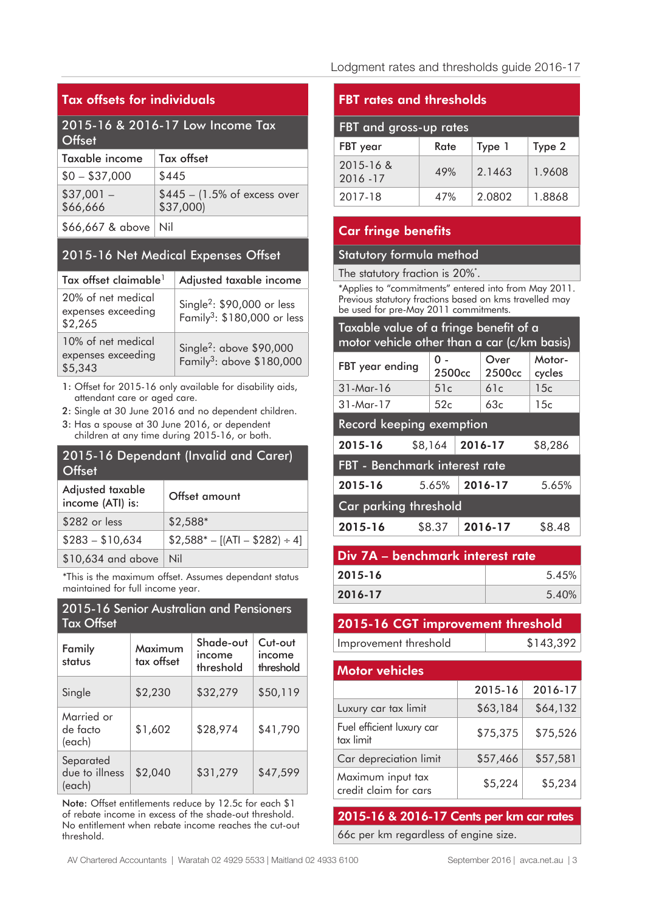#### **Tax offsets for individuals**

#### 2015-16 & 2016-17 Low Income Tax **Offset**

| Taxable income         | Tax offset                                           |
|------------------------|------------------------------------------------------|
| $$0 - $37,000$         | \$445                                                |
| $$37,001-$<br>\$66,666 | $$445 - (1.5\% \text{ of excess over})$<br>\$37,000) |
| \$66,667 & above   Nil |                                                      |

### 2015-16 Net Medical Expenses Offset

| Tax offset claimable <sup>1</sup>                   | Adjusted taxable income                                                            |
|-----------------------------------------------------|------------------------------------------------------------------------------------|
| 20% of net medical<br>expenses exceeding<br>\$2,265 | Single <sup>2</sup> : $$90,000$ or less<br>Family <sup>3</sup> : \$180,000 or less |
| 10% of net medical<br>expenses exceeding<br>\$5,343 | Single <sup>2</sup> : above $$90,000$<br>Family <sup>3</sup> : above \$180,000     |

1: Offset for 2015-16 only available for disability aids, attendant care or aged care.

2: Single at 30 June 2016 and no dependent children.

3: Has a spouse at 30 June 2016, or dependent children at any time during 2015-16, or both.

# 2015-16 Dependant (Invalid and Carer) **Offset**

| Adjusted taxable<br>income (ATI) is: | Offset amount                      |
|--------------------------------------|------------------------------------|
| \$282 or less                        | $$2,588*$                          |
| $$283 - $10,634$                     | $$2,588^* - [(ATI - $282) \div 4]$ |
| $$10,634$ and above   Nil            |                                    |

\*This is the maximum offset. Assumes dependant status maintained for full income year.

#### 2015-16 Senior Australian and Pensioners Tax Offset

| Family<br>status                      | Maximum<br>tax offset | Shade-out<br>income<br>threshold | Cut-out<br>income<br>threshold |
|---------------------------------------|-----------------------|----------------------------------|--------------------------------|
| Single                                | \$2,230               | \$32,279                         | \$50,119                       |
| Married or<br>de facto<br>(each)      | \$1,602               | \$28,974                         | \$41,790                       |
| Separated<br>due to illness<br>(each) | \$2,040               | \$31,279                         | \$47,599                       |

Note: Offset entitlements reduce by 12.5c for each \$1 of rebate income in excess of the shade-out threshold. No entitlement when rebate income reaches the cut-out threshold.

#### **FBT rates and thresholds**

| FBT and gross-up rates |      |        |        |  |
|------------------------|------|--------|--------|--|
| FBT year               | Rate | Type 1 | Type 2 |  |
| 2015-16 &<br>2016 - 17 | 49%  | 2.1463 | 1.9608 |  |
| 2017-18                | 47%  | 2.0802 | 1.8868 |  |

#### **Car fringe benefits**

#### Statutory formula method

The statutory fraction is 20%\*.

\*Applies to "commitments" entered into from May 2011. Previous statutory fractions based on kms travelled may be used for pre-May 2011 commitments.

| Taxable value of a fringe benefit of a<br>motor vehicle other than a car (c/km basis) |                           |  |                            |                  |
|---------------------------------------------------------------------------------------|---------------------------|--|----------------------------|------------------|
| FBT year ending                                                                       | 0 -<br>2500 <sub>cc</sub> |  | Over<br>2500 <sub>cc</sub> | Motor-<br>cycles |
| 31-Mar-16                                                                             | 51c                       |  | 61c                        | 15c              |
| 31-Mar-17                                                                             | 52c                       |  | 63c                        | 15c              |
| Record keeping exemption                                                              |                           |  |                            |                  |
| 2015-16                                                                               | \$8,164                   |  | 2016-17                    | \$8,286          |
| FBT - Benchmark interest rate                                                         |                           |  |                            |                  |
| 2015-16                                                                               | 5.65%                     |  | 2016-17                    | 5.65%            |
| Car parking threshold                                                                 |                           |  |                            |                  |
| \$8.37<br>\$8.48<br>2015-16<br>2016-17                                                |                           |  |                            |                  |

| Div 7A – benchmark interest rate |  |  |
|----------------------------------|--|--|
| 5.45%                            |  |  |
| 5.40%                            |  |  |
|                                  |  |  |

# **2015-16 CGT improvement threshold**

Improvement threshold \$143,392

| <b>Motor vehicles</b>                      |          |          |  |  |
|--------------------------------------------|----------|----------|--|--|
|                                            | 2015-16  | 2016-17  |  |  |
| Luxury car tax limit                       | \$63,184 | \$64,132 |  |  |
| Fuel efficient luxury car<br>tax limit     | \$75,375 | \$75,526 |  |  |
| Car depreciation limit                     | \$57,466 | \$57,581 |  |  |
| Maximum input tax<br>credit claim for cars | \$5,224  | \$5,234  |  |  |

**2015-16 & 2016-17 Cents per km car rates** 66c per km regardless of engine size.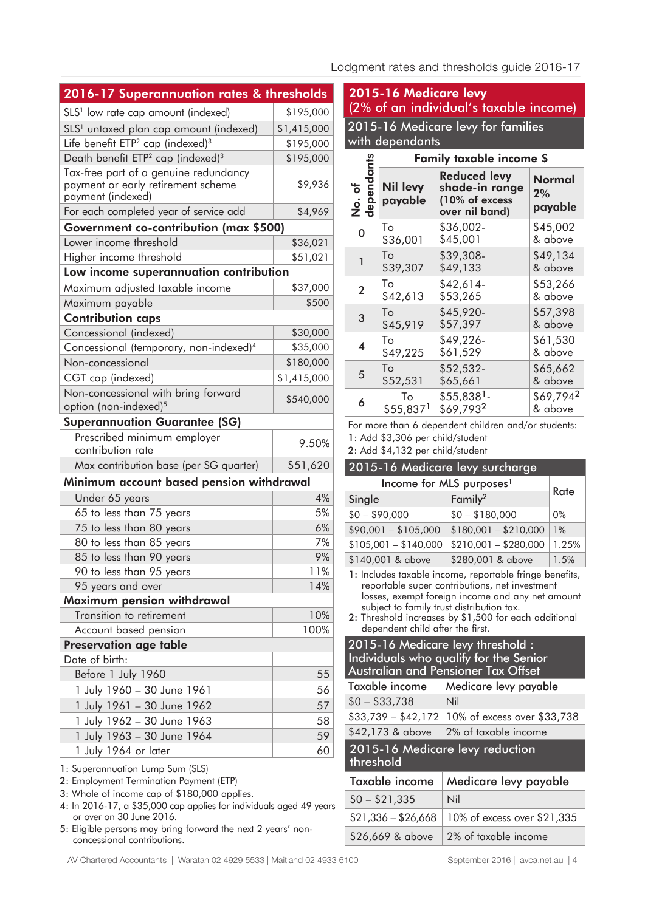#### Lodgment rates and thresholds guide 2016-17

| 2016-17 Superannuation rates & thresholds                                                        |             |
|--------------------------------------------------------------------------------------------------|-------------|
| SLS <sup>1</sup> low rate cap amount (indexed)                                                   | \$195,000   |
| SLS <sup>1</sup> untaxed plan cap amount (indexed)                                               | \$1,415,000 |
| Life benefit ETP <sup>2</sup> cap (indexed) <sup>3</sup>                                         | \$195,000   |
| Death benefit ETP <sup>2</sup> cap (indexed) <sup>3</sup>                                        | \$195,000   |
| Tax-free part of a genuine redundancy<br>payment or early retirement scheme<br>payment (indexed) | \$9,936     |
| For each completed year of service add                                                           | \$4,969     |
| <b>Government co-contribution (max \$500)</b>                                                    |             |
| Lower income threshold                                                                           | \$36,021    |
| Higher income threshold                                                                          | \$51,021    |
| Low income superannuation contribution                                                           |             |
| Maximum adjusted taxable income                                                                  | \$37,000    |
| Maximum payable                                                                                  | \$500       |
| <b>Contribution caps</b>                                                                         |             |
| Concessional (indexed)                                                                           | \$30,000    |
| Concessional (temporary, non-indexed) <sup>4</sup>                                               | \$35,000    |
| Non-concessional                                                                                 | \$180,000   |
| CGT cap (indexed)                                                                                | \$1,415,000 |
| Non-concessional with bring forward<br>option (non-indexed) <sup>5</sup>                         | \$540,000   |
| <b>Superannuation Guarantee (SG)</b>                                                             |             |
| Prescribed minimum employer<br>contribution rate                                                 | 9.50%       |
| Max contribution base (per SG quarter)                                                           | \$51,620    |
| Minimum account based pension withdrawal                                                         |             |
| Under 65 years                                                                                   | 4%          |
| 65 to less than 75 years                                                                         | 5%          |
| 75 to less than 80 years                                                                         | 6%          |
| 80 to less than 85 years                                                                         | 7%          |
| 85 to less than 90 years                                                                         | 9%          |
| 90 to less than 95 years                                                                         | 11%         |
| 95 years and over                                                                                | 14%         |
| Maximum pension withdrawal                                                                       |             |
| Transition to retirement                                                                         | 10%         |
| Account based pension                                                                            | 100%        |
| Preservation age table                                                                           |             |
| Date of birth:                                                                                   |             |
| Before 1 July 1960                                                                               | 55          |
| 1 July 1960 - 30 June 1961                                                                       | 56          |
| 1 July 1961 - 30 June 1962                                                                       | 57          |
| 1 July 1962 - 30 June 1963                                                                       | 58          |
| 1 July 1963 - 30 June 1964                                                                       | 59          |
| 1 July 1964 or later                                                                             | 60          |
| 1: Superannuation Lump Sum (SLS)                                                                 |             |

- 2: Employment Termination Payment (ETP)
- 3: Whole of income cap of \$180,000 applies.
- 4: In 2016-17, a \$35,000 cap applies for individuals aged 49 years or over on 30 June 2016.
- 5: Eligible persons may bring forward the next 2 years' nonconcessional contributions.

|                         | with dependants            | 2015-16 Medicare levy for families                                        |                                |
|-------------------------|----------------------------|---------------------------------------------------------------------------|--------------------------------|
|                         |                            | <b>Family taxable income \$</b>                                           |                                |
| No. of<br>dependants    | <b>Nil levy</b><br>payable | <b>Reduced levy</b><br>shade-in range<br>(10% of excess<br>over nil band) | <b>Normal</b><br>2%<br>payable |
| 0                       | To                         | \$36,002-                                                                 | \$45,002                       |
|                         | \$36,001                   | \$45,001                                                                  | & above                        |
| $\mathbf{1}$            | To                         | \$39,308-                                                                 | \$49,134                       |
|                         | \$39,307                   | \$49,133                                                                  | & above                        |
| $\overline{2}$          | To                         | \$42,614-                                                                 | \$53,266                       |
|                         | \$42,613                   | \$53,265                                                                  | & above                        |
| 3                       | To                         | \$45,920-                                                                 | \$57,398                       |
|                         | \$45,919                   | \$57,397                                                                  | & above                        |
| $\overline{\mathbf{A}}$ | Tο                         | \$49,226-                                                                 | \$61,530                       |
|                         | \$49,225                   | \$61,529                                                                  | & above                        |
| 5                       | To                         | \$52,532-                                                                 | \$65,662                       |
|                         | \$52,531                   | \$65,661                                                                  | & above                        |
| 6                       | To                         | $$55,838$ <sup>1</sup> -                                                  | \$69,7942                      |
|                         | \$55,8371                  | \$69,7932                                                                 | & above                        |

#### 2015-16 Medicare levy surcharge Income for MLS purposes<sup>1</sup> Single Family<sup>2</sup> Rate  $$0 - $90,000$   $$0 - $180,000$  0%  $$90,001 - $105,000 \mid $180,001 - $210,000 \mid 1\%$  $$105,001 - $140,000 \mid $210,001 - $280,000 \mid 1.25\%$

\$140,001 & above \$280,001 & above 1.5% 1: Includes taxable income, reportable fringe benefits, reportable super contributions, net investment losses, exempt foreign income and any net amount subject to family trust distribution tax.

2: Threshold increases by \$1,500 for each additional dependent child after the first.

| 2015-16 Medicare levy threshold :<br>Individuals who qualify for the Senior<br><b>Australian and Pensioner Tax Offset</b> |                                                 |  |  |  |
|---------------------------------------------------------------------------------------------------------------------------|-------------------------------------------------|--|--|--|
| Taxable income                                                                                                            | Medicare levy payable                           |  |  |  |
| $$0 - $33,738$<br>Nil                                                                                                     |                                                 |  |  |  |
|                                                                                                                           | $$33,739 - $42,172$ 10% of excess over \$33,738 |  |  |  |
| \$42,173 & above                                                                                                          | 2% of taxable income                            |  |  |  |
| 2015-16 Medicare levy reduction<br>threshold                                                                              |                                                 |  |  |  |

# Taxable income | Medicare levy payable  $$0 - $21,335$  Nil \$21,336 – \$26,668 10% of excess over \$21,335 \$26,669 & above 2% of taxable income

AV Chartered Accountants | Waratah 02 4929 5533 | Maitland 02 4933 6100 September 2016 | avca.net.au | 4